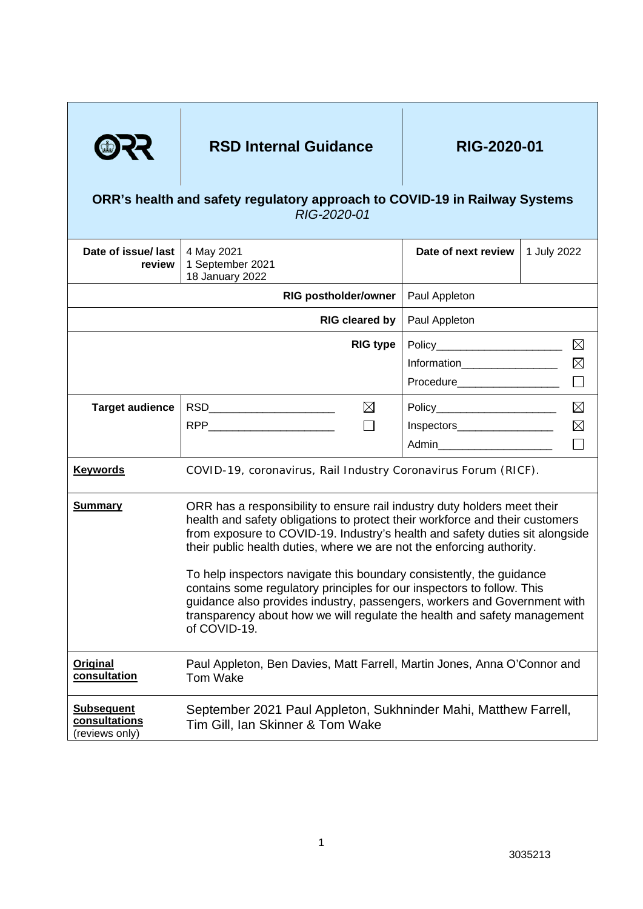

## RSD Internal Guidance **RIG-2020-01**

## **ORR's health and safety regulatory approach to COVID-19 in Railway Systems** *RIG-2020-01*

| Date of issue/ last<br>review                        | 4 May 2021<br>1 September 2021<br>18 January 2022                                                                                                                                                                                                                                                                                                                                                                                                                                                                                                                                                                                           | Date of next review             | 1 July 2022 |
|------------------------------------------------------|---------------------------------------------------------------------------------------------------------------------------------------------------------------------------------------------------------------------------------------------------------------------------------------------------------------------------------------------------------------------------------------------------------------------------------------------------------------------------------------------------------------------------------------------------------------------------------------------------------------------------------------------|---------------------------------|-------------|
|                                                      | <b>RIG postholder/owner</b>                                                                                                                                                                                                                                                                                                                                                                                                                                                                                                                                                                                                                 | Paul Appleton                   |             |
|                                                      | <b>RIG cleared by</b>                                                                                                                                                                                                                                                                                                                                                                                                                                                                                                                                                                                                                       | Paul Appleton                   |             |
|                                                      | <b>RIG type</b>                                                                                                                                                                                                                                                                                                                                                                                                                                                                                                                                                                                                                             |                                 | $\boxtimes$ |
|                                                      |                                                                                                                                                                                                                                                                                                                                                                                                                                                                                                                                                                                                                                             | Information__________________   | $\boxtimes$ |
|                                                      |                                                                                                                                                                                                                                                                                                                                                                                                                                                                                                                                                                                                                                             | Procedure____________________   |             |
| <b>Target audience</b>                               | RSD_________________________<br>$\boxtimes$                                                                                                                                                                                                                                                                                                                                                                                                                                                                                                                                                                                                 |                                 | $\boxtimes$ |
|                                                      |                                                                                                                                                                                                                                                                                                                                                                                                                                                                                                                                                                                                                                             | Inspectors___________________   | $\boxtimes$ |
|                                                      |                                                                                                                                                                                                                                                                                                                                                                                                                                                                                                                                                                                                                                             | Admin__________________________ |             |
| <b>Keywords</b>                                      | COVID-19, coronavirus, Rail Industry Coronavirus Forum (RICF).                                                                                                                                                                                                                                                                                                                                                                                                                                                                                                                                                                              |                                 |             |
| <b>Summary</b>                                       | ORR has a responsibility to ensure rail industry duty holders meet their<br>health and safety obligations to protect their workforce and their customers<br>from exposure to COVID-19. Industry's health and safety duties sit alongside<br>their public health duties, where we are not the enforcing authority.<br>To help inspectors navigate this boundary consistently, the guidance<br>contains some regulatory principles for our inspectors to follow. This<br>guidance also provides industry, passengers, workers and Government with<br>transparency about how we will regulate the health and safety management<br>of COVID-19. |                                 |             |
| Original<br>consultation                             | Paul Appleton, Ben Davies, Matt Farrell, Martin Jones, Anna O'Connor and<br><b>Tom Wake</b>                                                                                                                                                                                                                                                                                                                                                                                                                                                                                                                                                 |                                 |             |
| <b>Subsequent</b><br>consultations<br>(reviews only) | September 2021 Paul Appleton, Sukhninder Mahi, Matthew Farrell,<br>Tim Gill, Ian Skinner & Tom Wake                                                                                                                                                                                                                                                                                                                                                                                                                                                                                                                                         |                                 |             |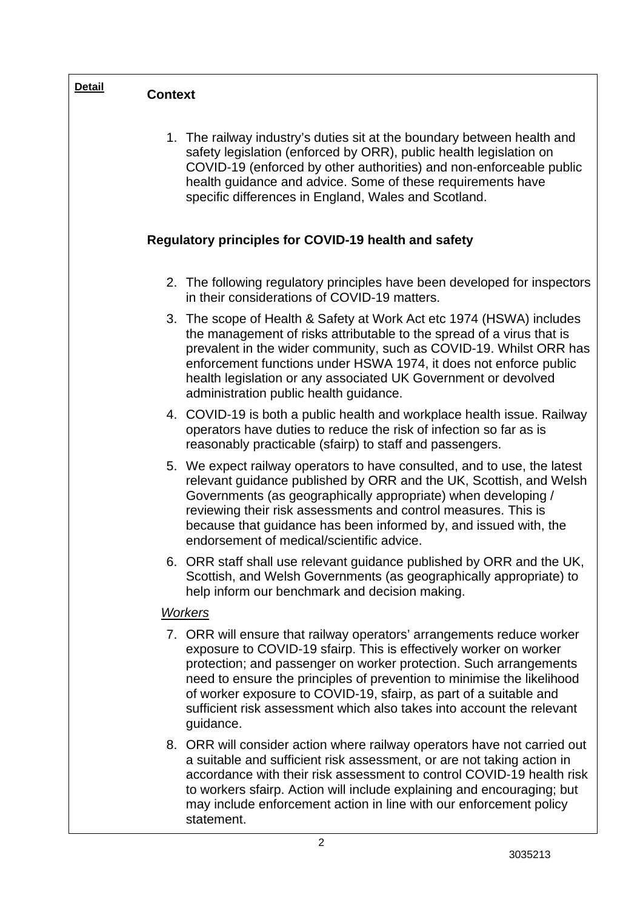| <b>Detail</b>                                        | <b>Context</b> |                                                                                                                                                                                                                                                                                                                                                                                                                                                      |  |  |
|------------------------------------------------------|----------------|------------------------------------------------------------------------------------------------------------------------------------------------------------------------------------------------------------------------------------------------------------------------------------------------------------------------------------------------------------------------------------------------------------------------------------------------------|--|--|
|                                                      |                | 1. The railway industry's duties sit at the boundary between health and<br>safety legislation (enforced by ORR), public health legislation on<br>COVID-19 (enforced by other authorities) and non-enforceable public<br>health guidance and advice. Some of these requirements have<br>specific differences in England, Wales and Scotland.                                                                                                          |  |  |
| Regulatory principles for COVID-19 health and safety |                |                                                                                                                                                                                                                                                                                                                                                                                                                                                      |  |  |
|                                                      |                | 2. The following regulatory principles have been developed for inspectors<br>in their considerations of COVID-19 matters.                                                                                                                                                                                                                                                                                                                            |  |  |
|                                                      |                | 3. The scope of Health & Safety at Work Act etc 1974 (HSWA) includes<br>the management of risks attributable to the spread of a virus that is<br>prevalent in the wider community, such as COVID-19. Whilst ORR has<br>enforcement functions under HSWA 1974, it does not enforce public<br>health legislation or any associated UK Government or devolved<br>administration public health guidance.                                                 |  |  |
|                                                      |                | 4. COVID-19 is both a public health and workplace health issue. Railway<br>operators have duties to reduce the risk of infection so far as is<br>reasonably practicable (sfairp) to staff and passengers.                                                                                                                                                                                                                                            |  |  |
|                                                      |                | 5. We expect railway operators to have consulted, and to use, the latest<br>relevant guidance published by ORR and the UK, Scottish, and Welsh<br>Governments (as geographically appropriate) when developing /<br>reviewing their risk assessments and control measures. This is<br>because that guidance has been informed by, and issued with, the<br>endorsement of medical/scientific advice.                                                   |  |  |
|                                                      |                | 6. ORR staff shall use relevant guidance published by ORR and the UK,<br>Scottish, and Welsh Governments (as geographically appropriate) to<br>help inform our benchmark and decision making.                                                                                                                                                                                                                                                        |  |  |
| Workers                                              |                |                                                                                                                                                                                                                                                                                                                                                                                                                                                      |  |  |
|                                                      |                | 7. ORR will ensure that railway operators' arrangements reduce worker<br>exposure to COVID-19 sfairp. This is effectively worker on worker<br>protection; and passenger on worker protection. Such arrangements<br>need to ensure the principles of prevention to minimise the likelihood<br>of worker exposure to COVID-19, sfairp, as part of a suitable and<br>sufficient risk assessment which also takes into account the relevant<br>guidance. |  |  |
|                                                      |                | 8. ORR will consider action where railway operators have not carried out<br>a suitable and sufficient risk assessment, or are not taking action in<br>accordance with their risk assessment to control COVID-19 health risk<br>to workers sfairp. Action will include explaining and encouraging; but<br>may include enforcement action in line with our enforcement policy<br>statement.                                                            |  |  |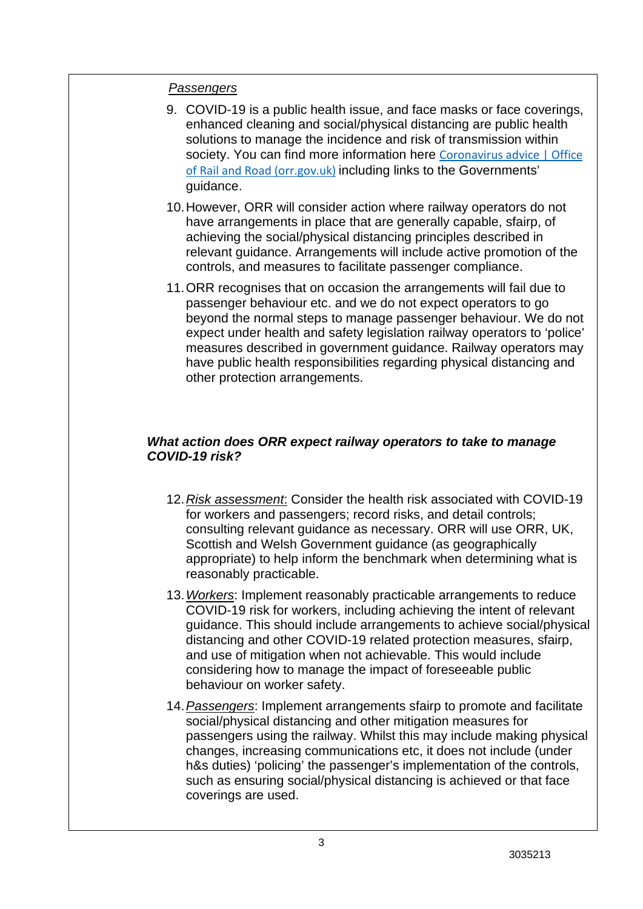## *Passengers*

- 9. COVID-19 is a public health issue, and face masks or face coverings, enhanced cleaning and social/physical distancing are public health solutions to manage the incidence and risk of transmission within society. You can find more information here [Coronavirus advice | Office](https://www.orr.gov.uk/coronavirus-advice)  [of Rail and Road \(orr.gov.uk\)](https://www.orr.gov.uk/coronavirus-advice) including links to the Governments' guidance.
- 10.However, ORR will consider action where railway operators do not have arrangements in place that are generally capable, sfairp, of achieving the social/physical distancing principles described in relevant guidance. Arrangements will include active promotion of the controls, and measures to facilitate passenger compliance.
- 11.ORR recognises that on occasion the arrangements will fail due to passenger behaviour etc. and we do not expect operators to go beyond the normal steps to manage passenger behaviour. We do not expect under health and safety legislation railway operators to 'police' measures described in government guidance. Railway operators may have public health responsibilities regarding physical distancing and other protection arrangements.

## *What action does ORR expect railway operators to take to manage COVID-19 risk?*

- 12.*Risk assessment*: Consider the health risk associated with COVID-19 for workers and passengers; record risks, and detail controls; consulting relevant guidance as necessary. ORR will use ORR, UK, Scottish and Welsh Government guidance (as geographically appropriate) to help inform the benchmark when determining what is reasonably practicable.
- 13.*Workers*: Implement reasonably practicable arrangements to reduce COVID-19 risk for workers, including achieving the intent of relevant guidance. This should include arrangements to achieve social/physical distancing and other COVID-19 related protection measures, sfairp, and use of mitigation when not achievable. This would include considering how to manage the impact of foreseeable public behaviour on worker safety.
- 14.*Passengers*: Implement arrangements sfairp to promote and facilitate social/physical distancing and other mitigation measures for passengers using the railway. Whilst this may include making physical changes, increasing communications etc, it does not include (under h&s duties) 'policing' the passenger's implementation of the controls, such as ensuring social/physical distancing is achieved or that face coverings are used.